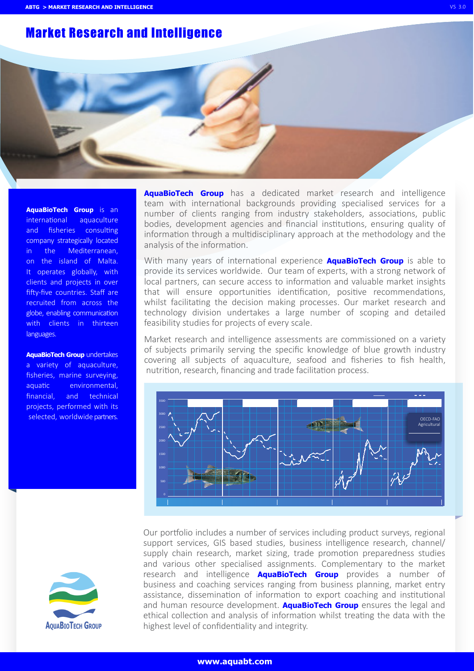# Market Research and Intelligence

**AquaBioTech Group** is an international aquaculture and fisheries consulting company strategically located in the Mediterranean, on the island of Malta. It operates globally, with clients and projects in over fifty-five countries. Staff are recruited from across the globe, enabling communication with clients in thirteen languages.

**AquaBioTech Group** undertakes a variety of aquaculture, fisheries, marine surveying, aquatic environmental, financial, and technical projects, performed with its selected, worldwide partners.



**AquaBioTech Group** has a dedicated market research and intelligence team with international backgrounds providing specialised services for a number of clients ranging from industry stakeholders, associations, public bodies, development agencies and financial institutions, ensuring quality of information through a multidisciplinary approach at the methodology and the analysis of the information.

With many years of international experience **AquaBioTech Group** is able to provide its services worldwide. Our team of experts, with a strong network of local partners, can secure access to information and valuable market insights that will ensure opportunities identification, positive recommendations, whilst facilitating the decision making processes. Our market research and technology division undertakes a large number of scoping and detailed feasibility studies for projects of every scale.

Market research and intelligence assessments are commissioned on a variety of subjects primarily serving the specific knowledge of blue growth industry covering all subjects of aquaculture, seafood and fisheries to fish health, nutrition, research, financing and trade facilitation process.



Our portfolio includes a number of services including product surveys, regional support services, GIS based studies, business intelligence research, channel/ supply chain research, market sizing, trade promotion preparedness studies and various other specialised assignments. Complementary to the market research and intelligence **AquaBioTech Group** provides a number of business and coaching services ranging from business planning, market entry assistance, dissemination of information to export coaching and institutional and human resource development. **AquaBioTech Group** ensures the legal and ethical collection and analysis of information whilst treating the data with the highest level of confidentiality and integrity.

### **www.aquabt.com**